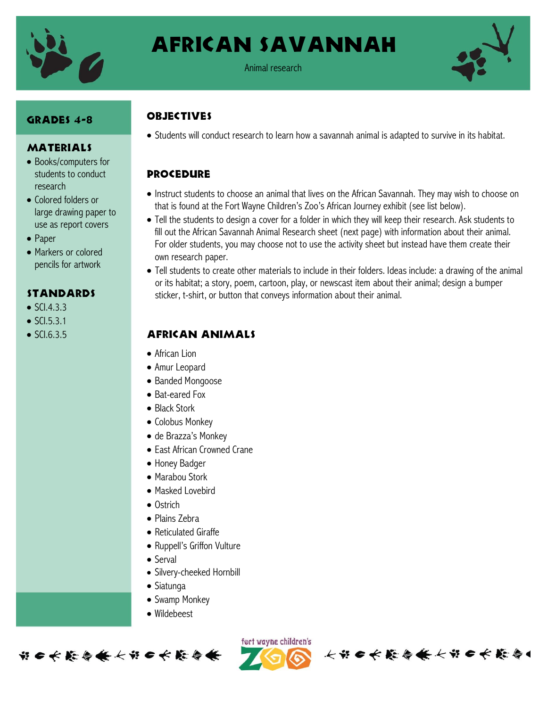

African Savannah



#### Animal research

#### GRADES 4-8

## **MATERIALS**

- Books/computers for students to conduct research
- Colored folders or large drawing paper to use as report covers
- Paper
- Markers or colored pencils for artwork

#### **STANDARDS**

- $\bullet$  SCI433.
- $\bullet$  SCI.5.3.1
- $\bullet$  SCI.6.3.5

# **OBJECTIVES**

Students will conduct research to learn how a savannah animal is adapted to survive in its habitat.

## **PROCEDURE**

- Instruct students to choose an animal that lives on the African Savannah. They may wish to choose on that is found at the Fort Wayne Children's Zoo's African Journey exhibit (see list below).
- Tell the students to design a cover for a folder in which they will keep their research. Ask students to fill out the African Savannah Animal Research sheet (next page) with information about their animal. For older students, you may choose not to use the activity sheet but instead have them create their own research paper.
- Tell students to create other materials to include in their folders. Ideas include: a drawing of the animal or its habitat; a story, poem, cartoon, play, or newscast item about their animal; design a bumper sticker, t-shirt, or button that conveys information about their animal.

#### African animals

- African Lion
- Amur Leopard
- Banded Mongoose
- Bat-eared Fox
- Black Stork
- Colobus Monkey
- de Brazza's Monkey
- East African Crowned Crane
- Honey Badger
- Marabou Stork
- Masked Lovebird
- Ostrich
- Plains Zebra
- Reticulated Giraffe
- Ruppell's Griffon Vulture
- Serval
- Silvery-cheeked Hornbill
- Siatunga
- Swamp Monkey
- Wildebeest





长节6长能与长长节6长能与1